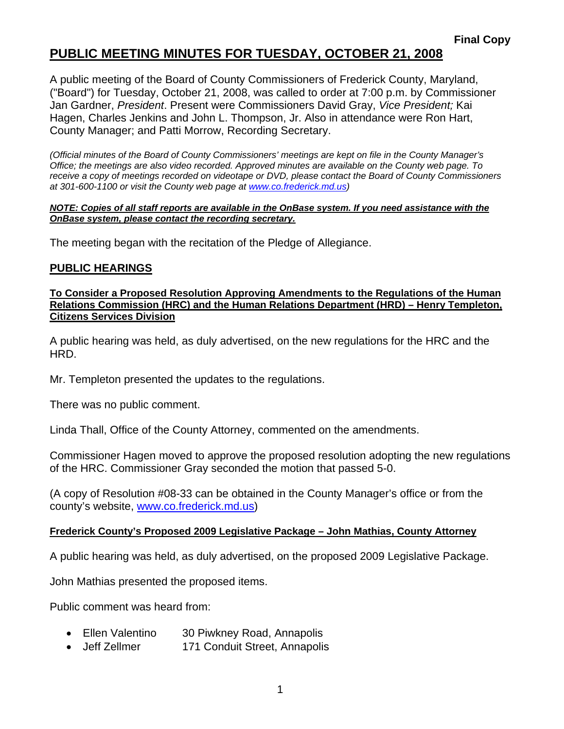# **PUBLIC MEETING MINUTES FOR TUESDAY, OCTOBER 21, 2008**

A public meeting of the Board of County Commissioners of Frederick County, Maryland, ("Board") for Tuesday, October 21, 2008, was called to order at 7:00 p.m. by Commissioner Jan Gardner, *President*. Present were Commissioners David Gray, *Vice President;* Kai Hagen, Charles Jenkins and John L. Thompson, Jr. Also in attendance were Ron Hart, County Manager; and Patti Morrow, Recording Secretary.

*(Official minutes of the Board of County Commissioners' meetings are kept on file in the County Manager's Office; the meetings are also video recorded. Approved minutes are available on the County web page. To receive a copy of meetings recorded on videotape or DVD, please contact the Board of County Commissioners at 301-600-1100 or visit the County web page at www.co.frederick.md.us)* 

#### *NOTE: Copies of all staff reports are available in the OnBase system. If you need assistance with the OnBase system, please contact the recording secretary.*

The meeting began with the recitation of the Pledge of Allegiance.

### **PUBLIC HEARINGS**

**To Consider a Proposed Resolution Approving Amendments to the Regulations of the Human Relations Commission (HRC) and the Human Relations Department (HRD) – Henry Templeton, Citizens Services Division**

A public hearing was held, as duly advertised, on the new regulations for the HRC and the HRD.

Mr. Templeton presented the updates to the regulations.

There was no public comment.

Linda Thall, Office of the County Attorney, commented on the amendments.

Commissioner Hagen moved to approve the proposed resolution adopting the new regulations of the HRC. Commissioner Gray seconded the motion that passed 5-0.

(A copy of Resolution #08-33 can be obtained in the County Manager's office or from the county's website, www.co.frederick.md.us)

### **Frederick County's Proposed 2009 Legislative Package – John Mathias, County Attorney**

A public hearing was held, as duly advertised, on the proposed 2009 Legislative Package.

John Mathias presented the proposed items.

Public comment was heard from:

- Ellen Valentino 30 Piwkney Road, Annapolis
- Jeff Zellmer 171 Conduit Street, Annapolis